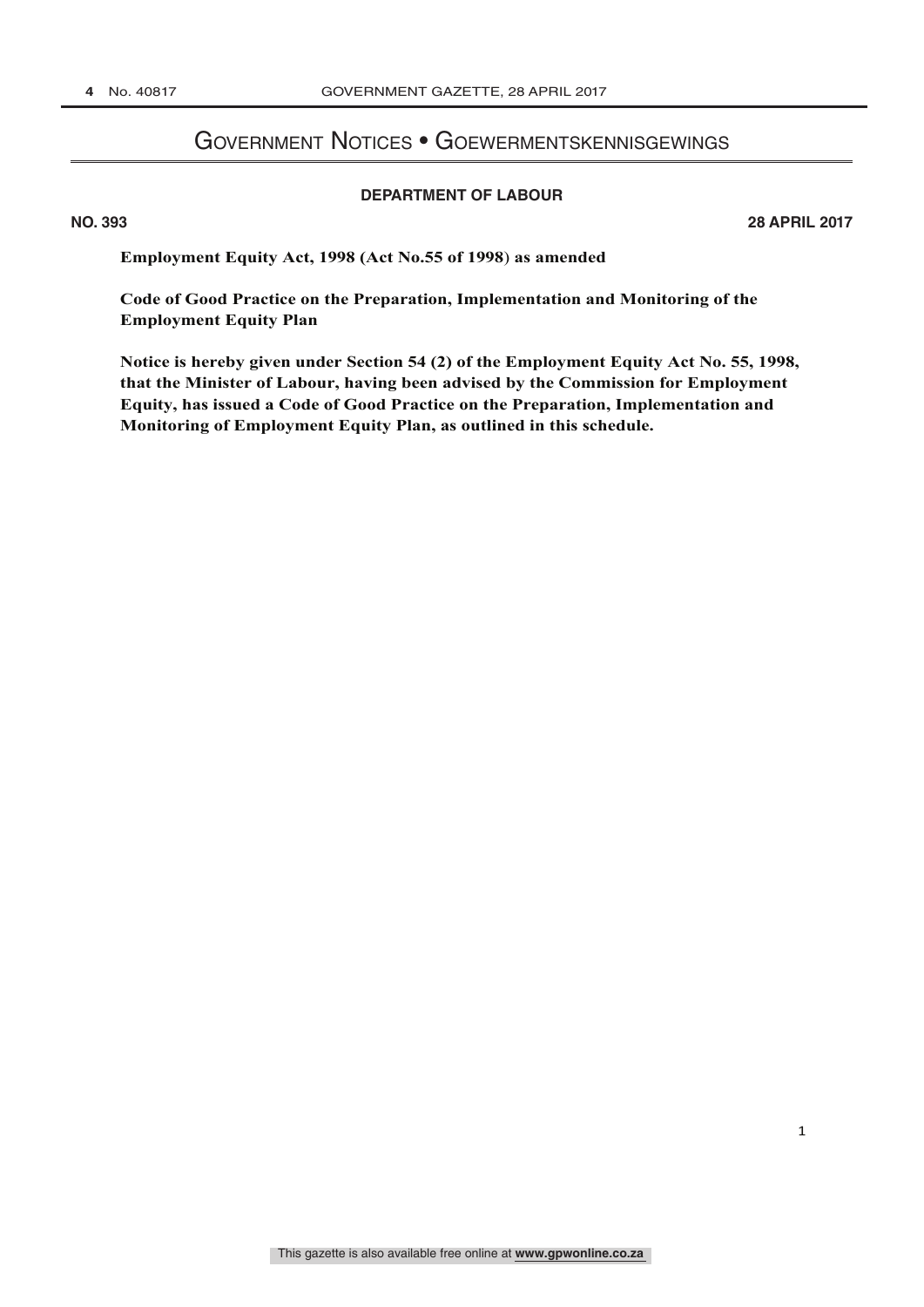# Government Notices • Goewermentskennisgewings

#### **DEPARTMENT OF LABOUR**

**B** 

**NO. 393 28 APRIL 2017**

**Employment Equity Act, 1998 (Act No.55 of 1998**) **as amended**

**Code of Good Practice on the Preparation, Implementation and Monitoring of the Employment Equity Plan**

**Notice is hereby given under Section 54 (2) of the Employment Equity Act No. 55, 1998, that the Minister of Labour, having been advised by the Commission for Employment Equity, has issued a Code of Good Practice on the Preparation, Implementation and Monitoring of Employment Equity Plan, as outlined in this schedule.**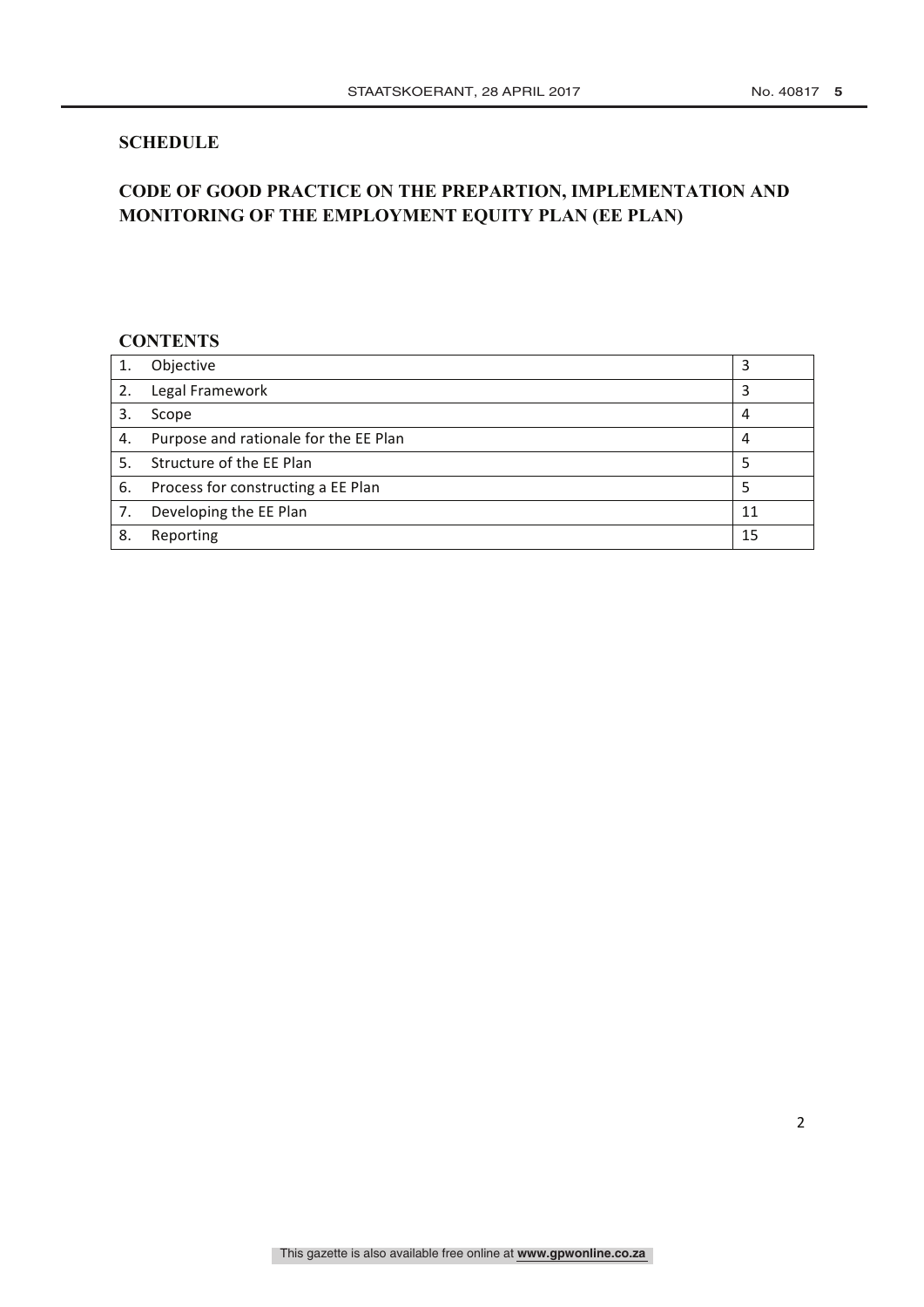## **SCHEDULE**

# **CODE OF GOOD PRACTICE ON THE PREPARTION, IMPLEMENTATION AND MONITORING OF THE EMPLOYMENT EQUITY PLAN (EE PLAN)**

## **CONTENTS**

|    | Objective                             | 3  |
|----|---------------------------------------|----|
|    | 2. Legal Framework                    | 3  |
|    | Scope                                 | 4  |
| 4. | Purpose and rationale for the EE Plan | 4  |
|    | 5. Structure of the EE Plan           | 5  |
|    | 6. Process for constructing a EE Plan | 5  |
| 7. | Developing the EE Plan                | 11 |
| 8. | Reporting                             | 15 |
|    |                                       |    |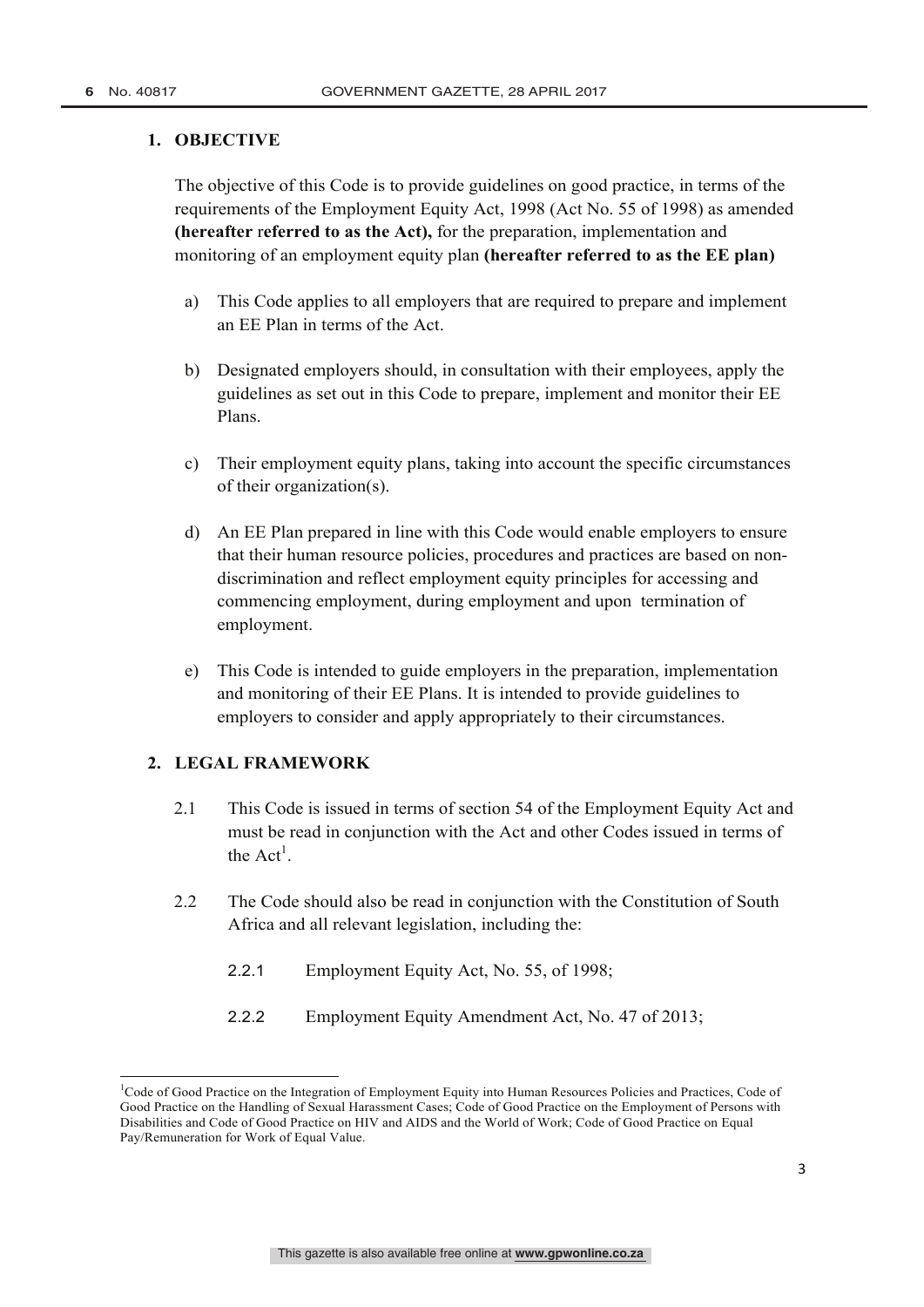### **1. OBJECTIVE**

The objective of this Code is to provide guidelines on good practice, in terms of the requirements of the Employment Equity Act, 1998 (Act No. 55 of 1998) as amended **(hereafter** r**eferred to as the Act),** for the preparation, implementation and monitoring of an employment equity plan **(hereafter referred to as the EE plan)**

- a) This Code applies to all employers that are required to prepare and implement an EE Plan in terms of the Act.
- b) Designated employers should, in consultation with their employees, apply the guidelines as set out in this Code to prepare, implement and monitor their EE Plans.
- c) Their employment equity plans, taking into account the specific circumstances of their organization(s).
- d) An EE Plan prepared in line with this Code would enable employers to ensure that their human resource policies, procedures and practices are based on nondiscrimination and reflect employment equity principles for accessing and commencing employment, during employment and upon termination of employment.
- e) This Code is intended to guide employers in the preparation, implementation and monitoring of their EE Plans. It is intended to provide guidelines to employers to consider and apply appropriately to their circumstances.

### **2. LEGAL FRAMEWORK**

- 2.1 This Code is issued in terms of section 54 of the Employment Equity Act and must be read in conjunction with the Act and other Codes issued in terms of the  $Act^1$ .
- 2.2 The Code should also be read in conjunction with the Constitution of South Africa and all relevant legislation, including the:
	- 2.2.1 Employment Equity Act, No. 55, of 1998;
	- 2.2.2 Employment Equity Amendment Act, No. 47 of 2013;

<sup>1&</sup>lt;br><sup>1</sup>Code of Good Practice on the Integration of Employment Equity into Human Resources Policies and Practices, Code of Good Practice on the Handling of Sexual Harassment Cases; Code of Good Practice on the Employment of Persons with Disabilities and Code of Good Practice on HIV and AIDS and the World of Work; Code of Good Practice on Equal Pay/Remuneration for Work of Equal Value.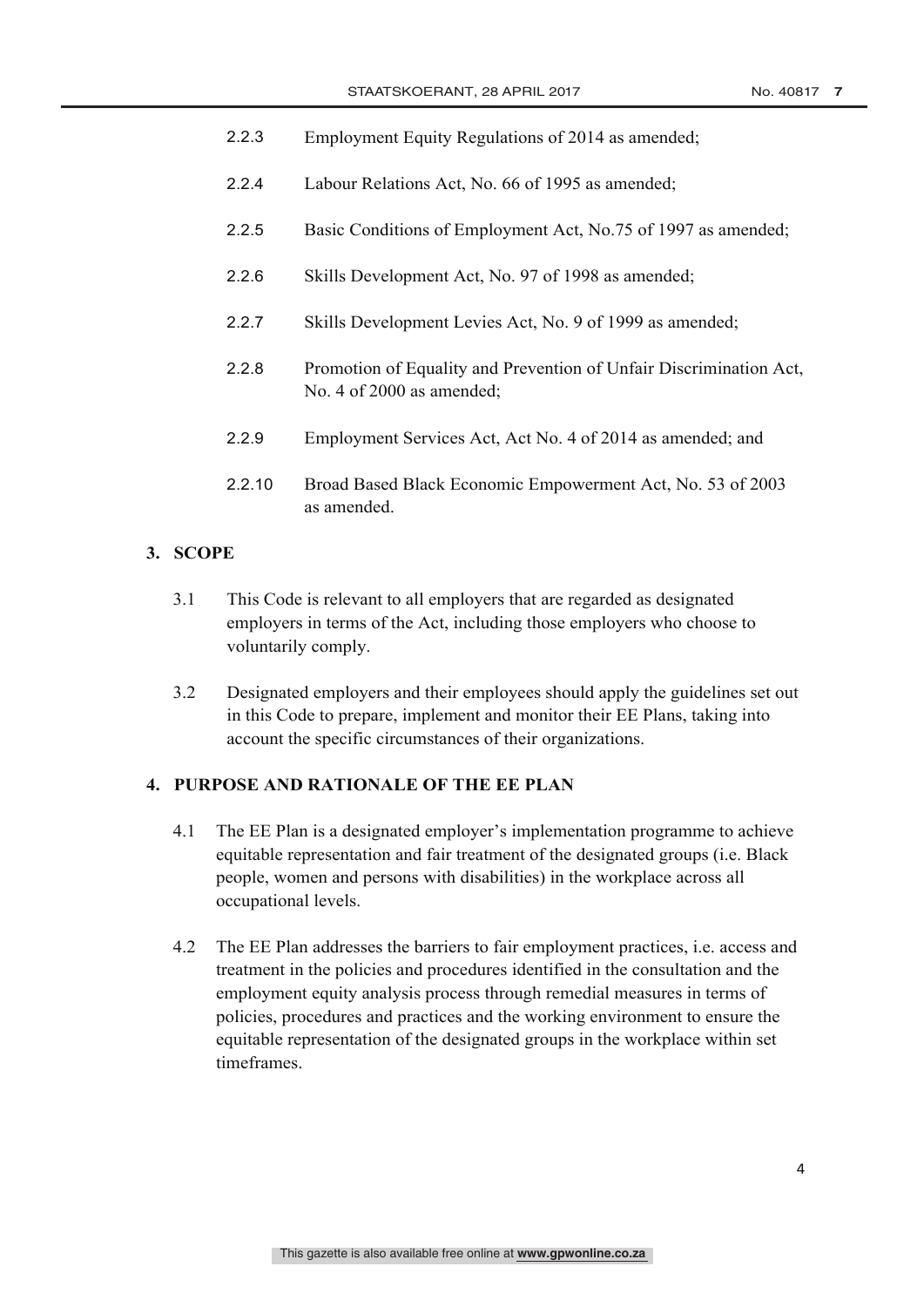- 2.2.3 Employment Equity Regulations of 2014 as amended;
- 2.2.4 Labour Relations Act, No. 66 of 1995 as amended;
- 2.2.5 Basic Conditions of Employment Act, No.75 of 1997 as amended;
- 2.2.6 Skills Development Act, No. 97 of 1998 as amended;
- 2.2.7 Skills Development Levies Act, No. 9 of 1999 as amended;
- 2.2.8 Promotion of Equality and Prevention of Unfair Discrimination Act, No. 4 of 2000 as amended;
- 2.2.9 Employment Services Act, Act No. 4 of 2014 as amended; and
- 2.2.10 Broad Based Black Economic Empowerment Act, No. 53 of 2003 as amended.

### **3. SCOPE**

- 3.1 This Code is relevant to all employers that are regarded as designated employers in terms of the Act, including those employers who choose to voluntarily comply.
- 3.2 Designated employers and their employees should apply the guidelines set out in this Code to prepare, implement and monitor their EE Plans, taking into account the specific circumstances of their organizations.

### **4. PURPOSE AND RATIONALE OF THE EE PLAN**

- 4.1 The EE Plan is a designated employer's implementation programme to achieve equitable representation and fair treatment of the designated groups (i.e. Black people, women and persons with disabilities) in the workplace across all occupational levels.
- 4.2 The EE Plan addresses the barriers to fair employment practices, i.e. access and treatment in the policies and procedures identified in the consultation and the employment equity analysis process through remedial measures in terms of policies, procedures and practices and the working environment to ensure the equitable representation of the designated groups in the workplace within set timeframes.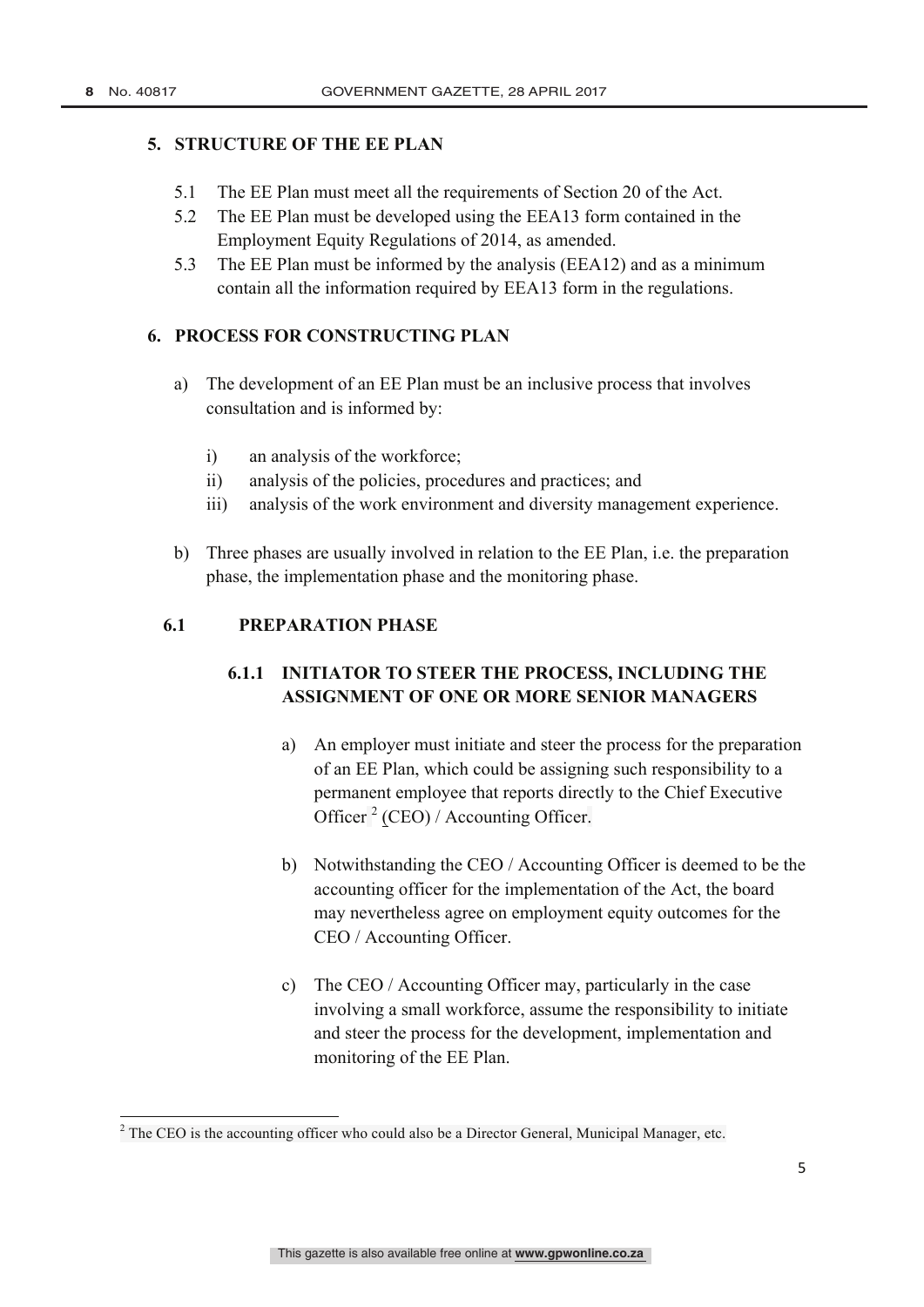### **5. STRUCTURE OF THE EE PLAN**

- 5.1 The EE Plan must meet all the requirements of Section 20 of the Act.
- 5.2 The EE Plan must be developed using the EEA13 form contained in the Employment Equity Regulations of 2014, as amended.
- 5.3 The EE Plan must be informed by the analysis (EEA12) and as a minimum contain all the information required by EEA13 form in the regulations.

## **6. PROCESS FOR CONSTRUCTING PLAN**

- a) The development of an EE Plan must be an inclusive process that involves consultation and is informed by:
	- i) an analysis of the workforce;
	- ii) analysis of the policies, procedures and practices; and
	- iii) analysis of the work environment and diversity management experience.
- b) Three phases are usually involved in relation to the EE Plan, i.e. the preparation phase, the implementation phase and the monitoring phase.

## **6.1 PREPARATION PHASE**

# **6.1.1 INITIATOR TO STEER THE PROCESS, INCLUDING THE ASSIGNMENT OF ONE OR MORE SENIOR MANAGERS**

- a) An employer must initiate and steer the process for the preparation of an EE Plan, which could be assigning such responsibility to a permanent employee that reports directly to the Chief Executive Officer  $^{2}$  (CEO) / Accounting Officer.
- b) Notwithstanding the CEO / Accounting Officer is deemed to be the accounting officer for the implementation of the Act, the board may nevertheless agree on employment equity outcomes for the CEO / Accounting Officer.
- c) The CEO / Accounting Officer may, particularly in the case involving a small workforce, assume the responsibility to initiate and steer the process for the development, implementation and monitoring of the EE Plan.

<sup>&</sup>lt;sup>2</sup> The CEO is the accounting officer who could also be a Director General, Municipal Manager, etc.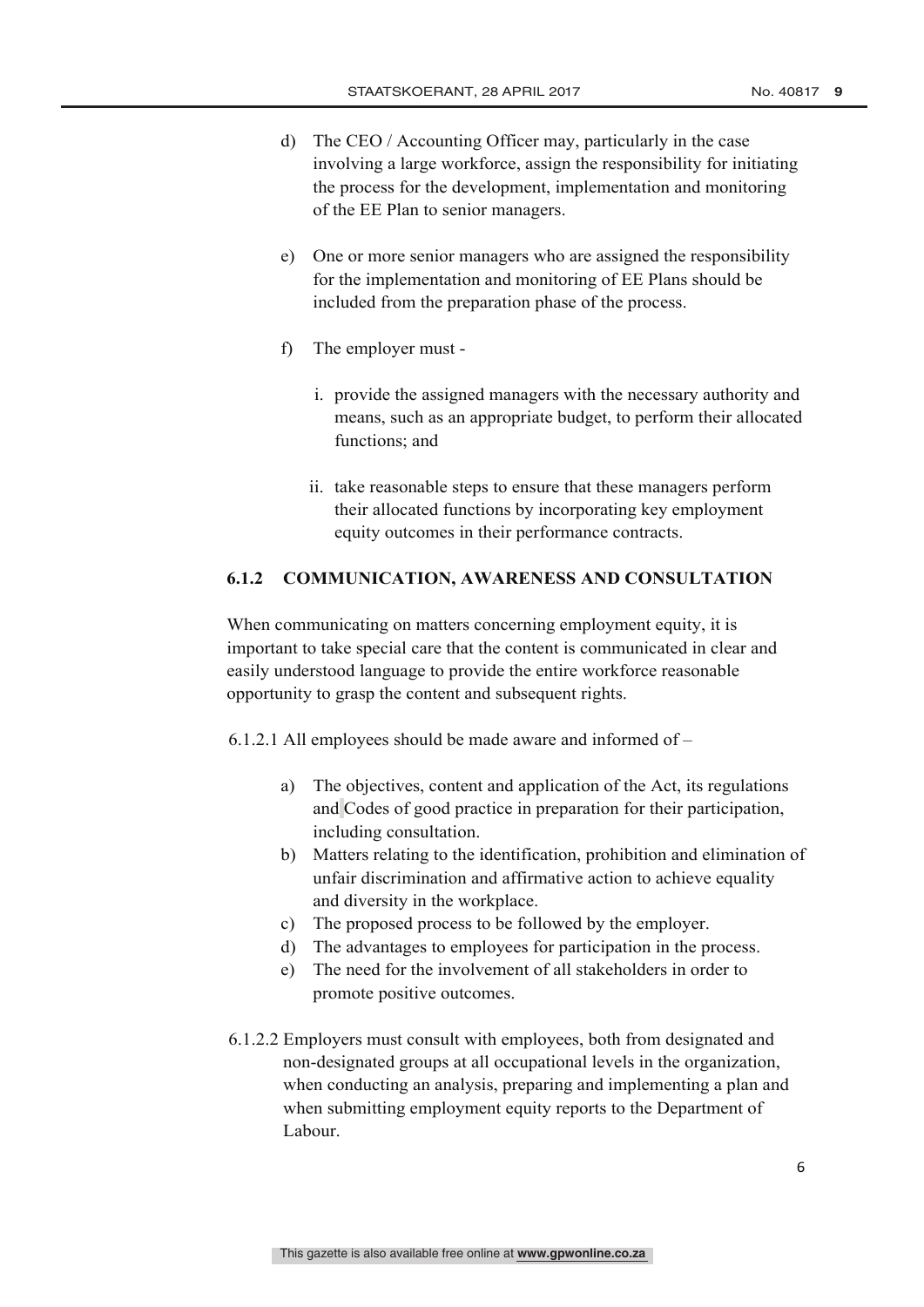- d) The CEO / Accounting Officer may, particularly in the case involving a large workforce, assign the responsibility for initiating the process for the development, implementation and monitoring of the EE Plan to senior managers.
- e) One or more senior managers who are assigned the responsibility for the implementation and monitoring of EE Plans should be included from the preparation phase of the process.
- f) The employer must
	- i. provide the assigned managers with the necessary authority and means, such as an appropriate budget, to perform their allocated functions; and
	- ii. take reasonable steps to ensure that these managers perform their allocated functions by incorporating key employment equity outcomes in their performance contracts.

#### **6.1.2 COMMUNICATION, AWARENESS AND CONSULTATION**

When communicating on matters concerning employment equity, it is important to take special care that the content is communicated in clear and easily understood language to provide the entire workforce reasonable opportunity to grasp the content and subsequent rights.

6.1.2.1 All employees should be made aware and informed of –

- a) The objectives, content and application of the Act, its regulations and Codes of good practice in preparation for their participation, including consultation.
- b) Matters relating to the identification, prohibition and elimination of unfair discrimination and affirmative action to achieve equality and diversity in the workplace.
- c) The proposed process to be followed by the employer.
- d) The advantages to employees for participation in the process.
- e) The need for the involvement of all stakeholders in order to promote positive outcomes.
- 6.1.2.2 Employers must consult with employees, both from designated and non-designated groups at all occupational levels in the organization, when conducting an analysis, preparing and implementing a plan and when submitting employment equity reports to the Department of Labour.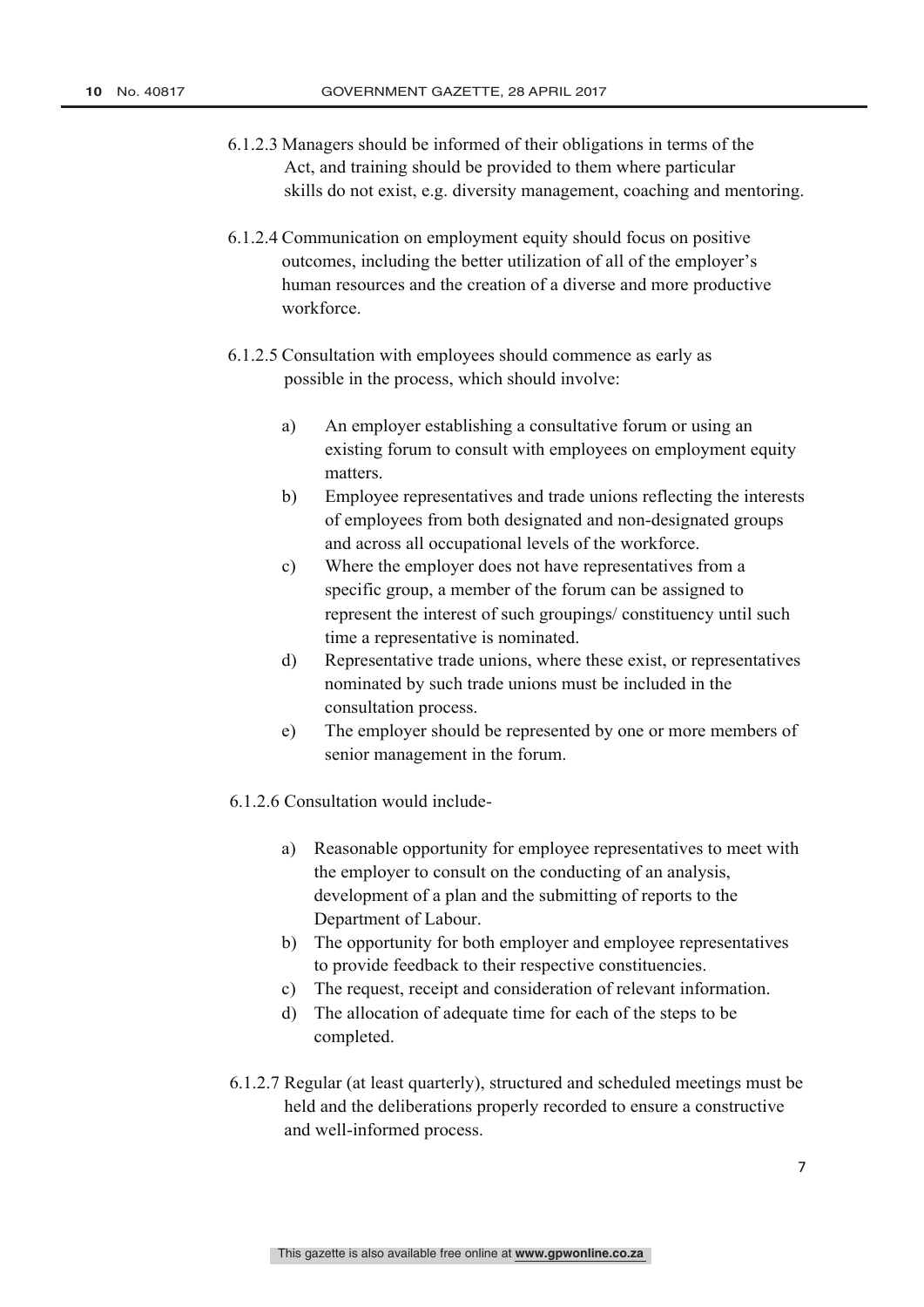- 6.1.2.3 Managers should be informed of their obligations in terms of the Act, and training should be provided to them where particular skills do not exist, e.g. diversity management, coaching and mentoring.
- 6.1.2.4 Communication on employment equity should focus on positive outcomes, including the better utilization of all of the employer's human resources and the creation of a diverse and more productive workforce.
- 6.1.2.5 Consultation with employees should commence as early as possible in the process, which should involve:
	- a) An employer establishing a consultative forum or using an existing forum to consult with employees on employment equity matters.
	- b) Employee representatives and trade unions reflecting the interests of employees from both designated and non-designated groups and across all occupational levels of the workforce.
	- c) Where the employer does not have representatives from a specific group, a member of the forum can be assigned to represent the interest of such groupings/ constituency until such time a representative is nominated.
	- d) Representative trade unions, where these exist, or representatives nominated by such trade unions must be included in the consultation process.
	- e) The employer should be represented by one or more members of senior management in the forum.
- 6.1.2.6 Consultation would include
	- a) Reasonable opportunity for employee representatives to meet with the employer to consult on the conducting of an analysis, development of a plan and the submitting of reports to the Department of Labour.
	- b) The opportunity for both employer and employee representatives to provide feedback to their respective constituencies.
	- c) The request, receipt and consideration of relevant information.
	- d) The allocation of adequate time for each of the steps to be completed.
- 6.1.2.7 Regular (at least quarterly), structured and scheduled meetings must be held and the deliberations properly recorded to ensure a constructive and well-informed process.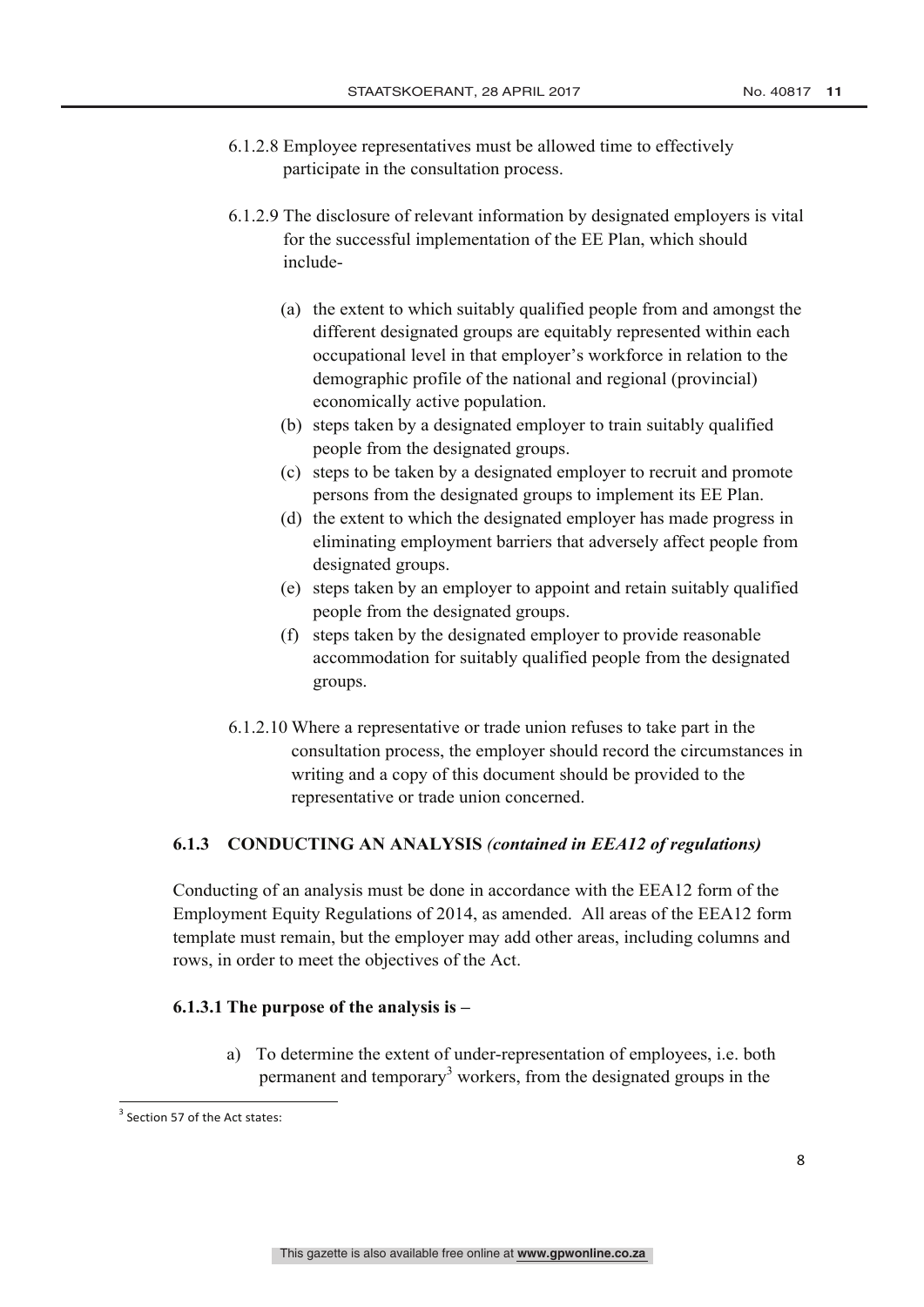- 6.1.2.8 Employee representatives must be allowed time to effectively participate in the consultation process.
- 6.1.2.9 The disclosure of relevant information by designated employers is vital for the successful implementation of the EE Plan, which should include-
	- (a) the extent to which suitably qualified people from and amongst the different designated groups are equitably represented within each occupational level in that employer's workforce in relation to the demographic profile of the national and regional (provincial) economically active population.
	- (b) steps taken by a designated employer to train suitably qualified people from the designated groups.
	- (c) steps to be taken by a designated employer to recruit and promote persons from the designated groups to implement its EE Plan.
	- (d) the extent to which the designated employer has made progress in eliminating employment barriers that adversely affect people from designated groups.
	- (e) steps taken by an employer to appoint and retain suitably qualified people from the designated groups.
	- (f) steps taken by the designated employer to provide reasonable accommodation for suitably qualified people from the designated groups.
- 6.1.2.10 Where a representative or trade union refuses to take part in the consultation process, the employer should record the circumstances in writing and a copy of this document should be provided to the representative or trade union concerned.

## **6.1.3 CONDUCTING AN ANALYSIS** *(contained in EEA12 of regulations)*

Conducting of an analysis must be done in accordance with the EEA12 form of the Employment Equity Regulations of 2014, as amended. All areas of the EEA12 form template must remain, but the employer may add other areas, including columns and rows, in order to meet the objectives of the Act.

## **6.1.3.1 The purpose of the analysis is –**

a) To determine the extent of under-representation of employees, i.e. both permanent and temporary<sup>3</sup> workers, from the designated groups in the

 $3$  Section 57 of the Act states: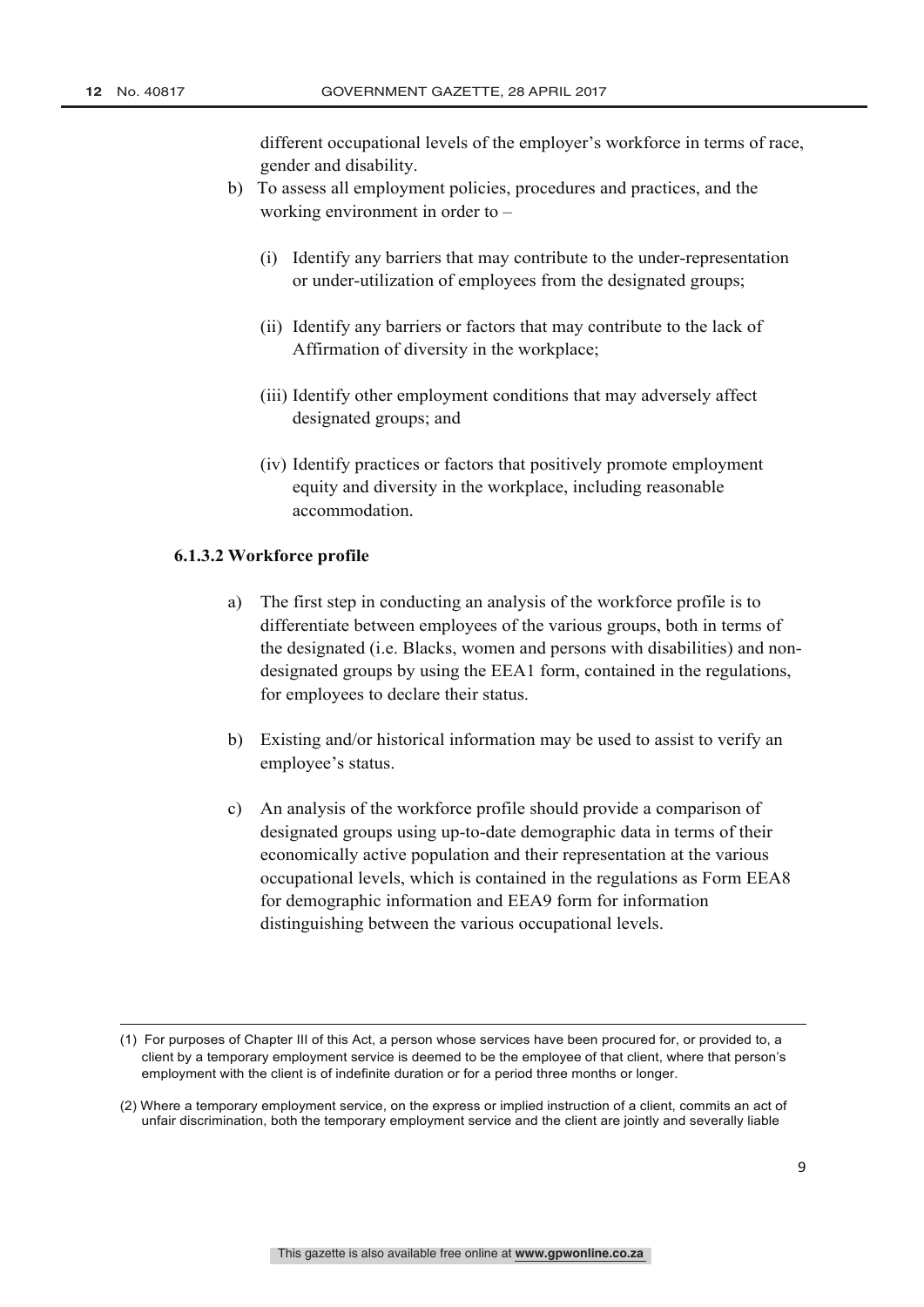different occupational levels of the employer's workforce in terms of race, gender and disability.

- b) To assess all employment policies, procedures and practices, and the working environment in order to –
	- (i) Identify any barriers that may contribute to the under-representation or under-utilization of employees from the designated groups;
	- (ii) Identify any barriers or factors that may contribute to the lack of Affirmation of diversity in the workplace;
	- (iii) Identify other employment conditions that may adversely affect designated groups; and
	- (iv) Identify practices or factors that positively promote employment equity and diversity in the workplace, including reasonable accommodation.

#### **6.1.3.2 Workforce profile**

- a) The first step in conducting an analysis of the workforce profile is to differentiate between employees of the various groups, both in terms of the designated (i.e. Blacks, women and persons with disabilities) and nondesignated groups by using the EEA1 form, contained in the regulations, for employees to declare their status.
- b) Existing and/or historical information may be used to assist to verify an employee's status.
- c) An analysis of the workforce profile should provide a comparison of designated groups using up-to-date demographic data in terms of their economically active population and their representation at the various occupational levels, which is contained in the regulations as Form EEA8 for demographic information and EEA9 form for information distinguishing between the various occupational levels.

<sup>&</sup>lt;u> 1989 - Johann Stoff, fransk politik (f. 1989)</u> (1) For purposes of Chapter III of this Act, a person whose services have been procured for, or provided to, a client by a temporary employment service is deemed to be the employee of that client, where that person's employment with the client is of indefinite duration or for a period three months or longer.

<sup>(2)</sup> Where a temporary employment service, on the express or implied instruction of a client, commits an act of unfair discrimination, both the temporary employment service and the client are jointly and severally liable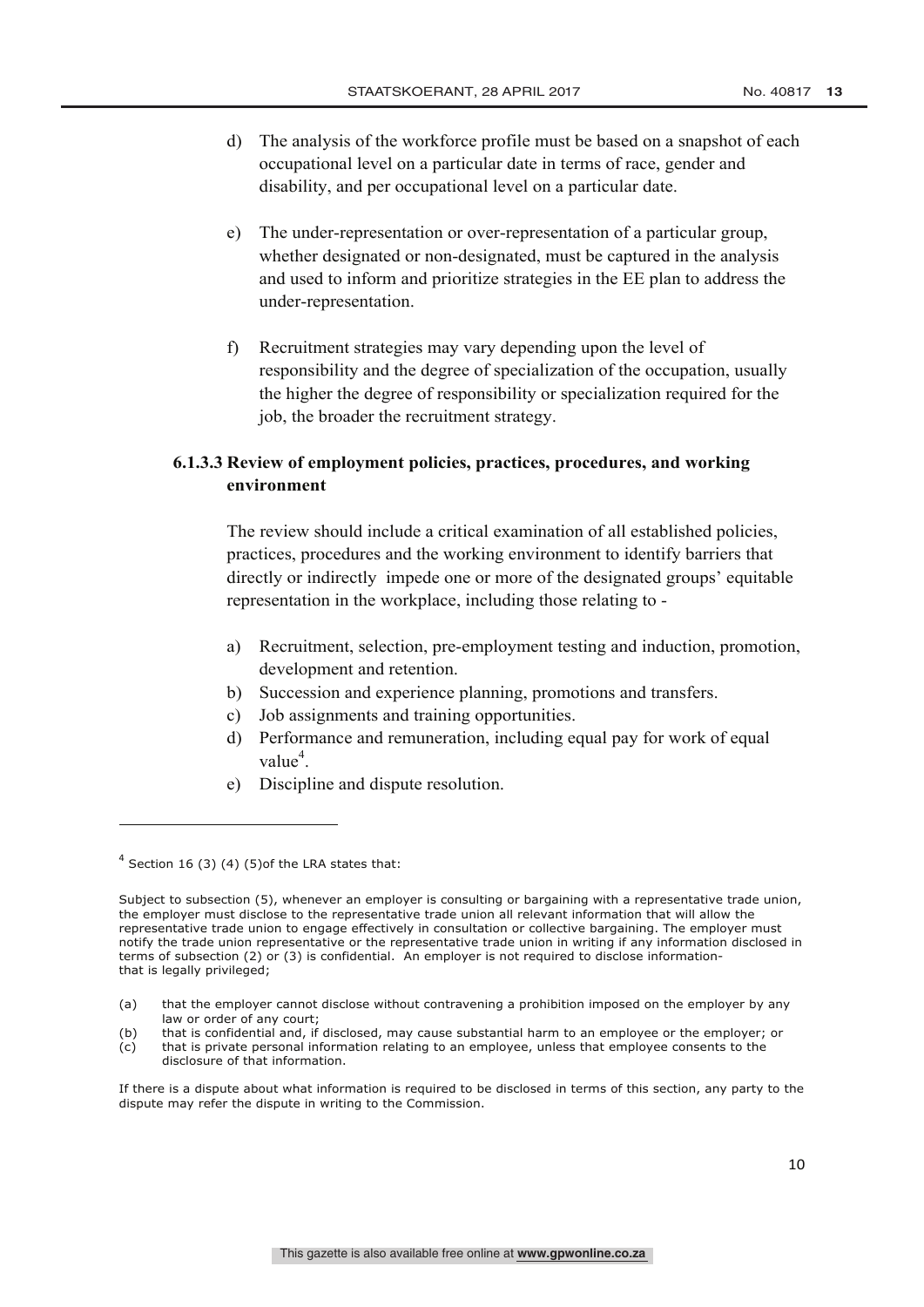- d) The analysis of the workforce profile must be based on a snapshot of each occupational level on a particular date in terms of race, gender and disability, and per occupational level on a particular date.
- e) The under-representation or over-representation of a particular group, whether designated or non-designated, must be captured in the analysis and used to inform and prioritize strategies in the EE plan to address the under-representation.
- f) Recruitment strategies may vary depending upon the level of responsibility and the degree of specialization of the occupation, usually the higher the degree of responsibility or specialization required for the job, the broader the recruitment strategy.

## **6.1.3.3 Review of employment policies, practices, procedures, and working environment**

The review should include a critical examination of all established policies, practices, procedures and the working environment to identify barriers that directly or indirectly impede one or more of the designated groups' equitable representation in the workplace, including those relating to -

- a) Recruitment, selection, pre-employment testing and induction, promotion, development and retention.
- b) Succession and experience planning, promotions and transfers.
- c) Job assignments and training opportunities.
- d) Performance and remuneration, including equal pay for work of equal value<sup>4</sup>.
- e) Discipline and dispute resolution.

 $4$  Section 16 (3) (4) (5) of the LRA states that:

Subject to subsection (5), whenever an employer is consulting or bargaining with a representative trade union, the employer must disclose to the representative trade union all relevant information that will allow the representative trade union to engage effectively in consultation or collective bargaining. The employer must notify the trade union representative or the representative trade union in writing if any information disclosed in terms of subsection (2) or (3) is confidential. An employer is not required to disclose informationthat is legally privileged;

<sup>(</sup>a) that the employer cannot disclose without contravening a prohibition imposed on the employer by any law or order of any court;

<sup>(</sup>b) that is confidential and, if disclosed, may cause substantial harm to an employee or the employer; or

<sup>(</sup>c) that is private personal information relating to an employee, unless that employee consents to the disclosure of that information.

If there is a dispute about what information is required to be disclosed in terms of this section, any party to the dispute may refer the dispute in writing to the Commission.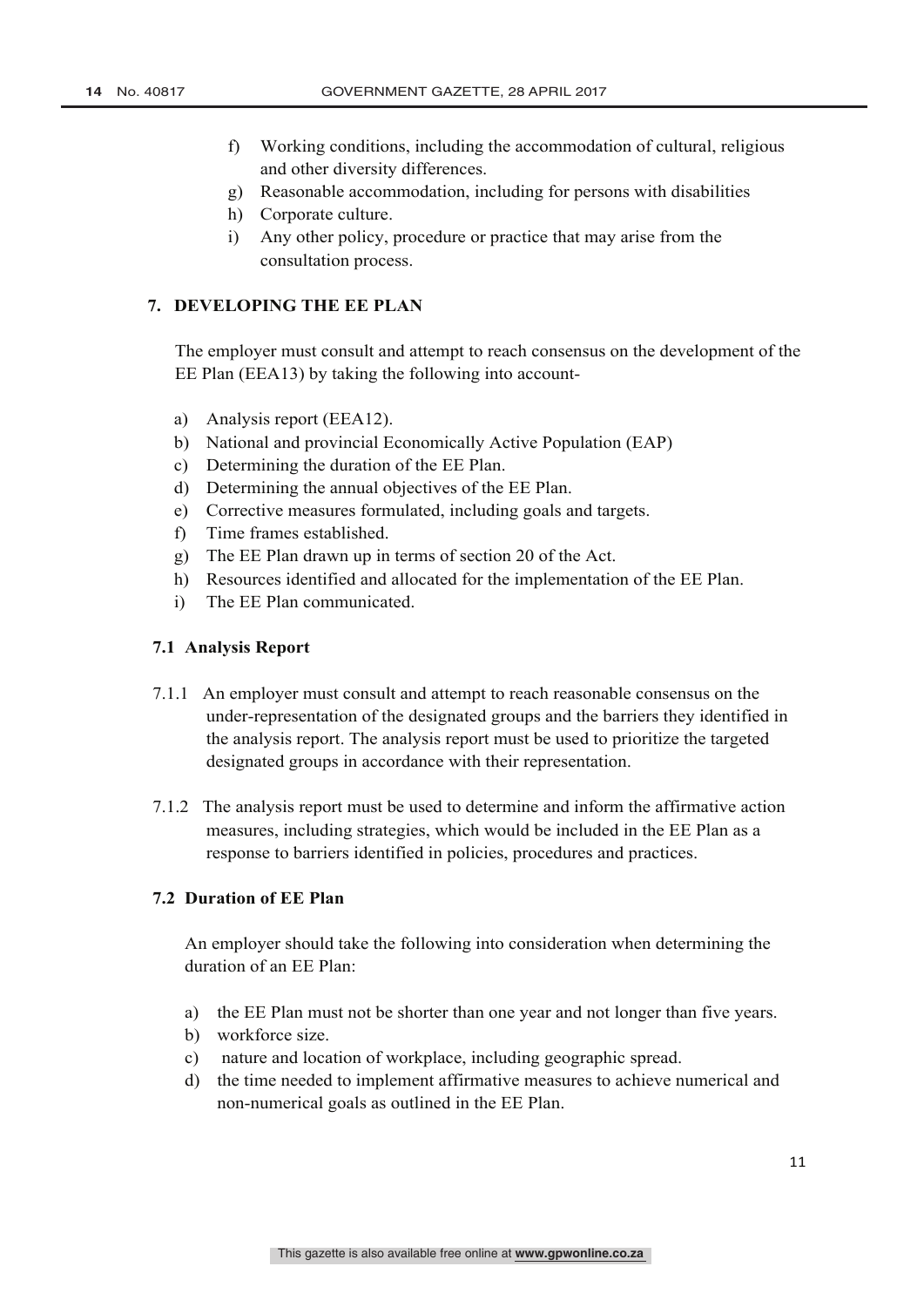- f) Working conditions, including the accommodation of cultural, religious and other diversity differences.
- g) Reasonable accommodation, including for persons with disabilities
- h) Corporate culture.
- i) Any other policy, procedure or practice that may arise from the consultation process.

### **7. DEVELOPING THE EE PLAN**

The employer must consult and attempt to reach consensus on the development of the EE Plan (EEA13) by taking the following into account-

- a) Analysis report (EEA12).
- b) National and provincial Economically Active Population (EAP)
- c) Determining the duration of the EE Plan.
- d) Determining the annual objectives of the EE Plan.
- e) Corrective measures formulated, including goals and targets.
- f) Time frames established.
- g) The EE Plan drawn up in terms of section 20 of the Act.
- h) Resources identified and allocated for the implementation of the EE Plan.
- i) The EE Plan communicated.

### **7.1 Analysis Report**

- 7.1.1 An employer must consult and attempt to reach reasonable consensus on the under-representation of the designated groups and the barriers they identified in the analysis report. The analysis report must be used to prioritize the targeted designated groups in accordance with their representation.
- 7.1.2 The analysis report must be used to determine and inform the affirmative action measures, including strategies, which would be included in the EE Plan as a response to barriers identified in policies, procedures and practices.

## **7.2 Duration of EE Plan**

An employer should take the following into consideration when determining the duration of an EE Plan:

- a) the EE Plan must not be shorter than one year and not longer than five years.
- b) workforce size.
- c) nature and location of workplace, including geographic spread.
- d) the time needed to implement affirmative measures to achieve numerical and non-numerical goals as outlined in the EE Plan.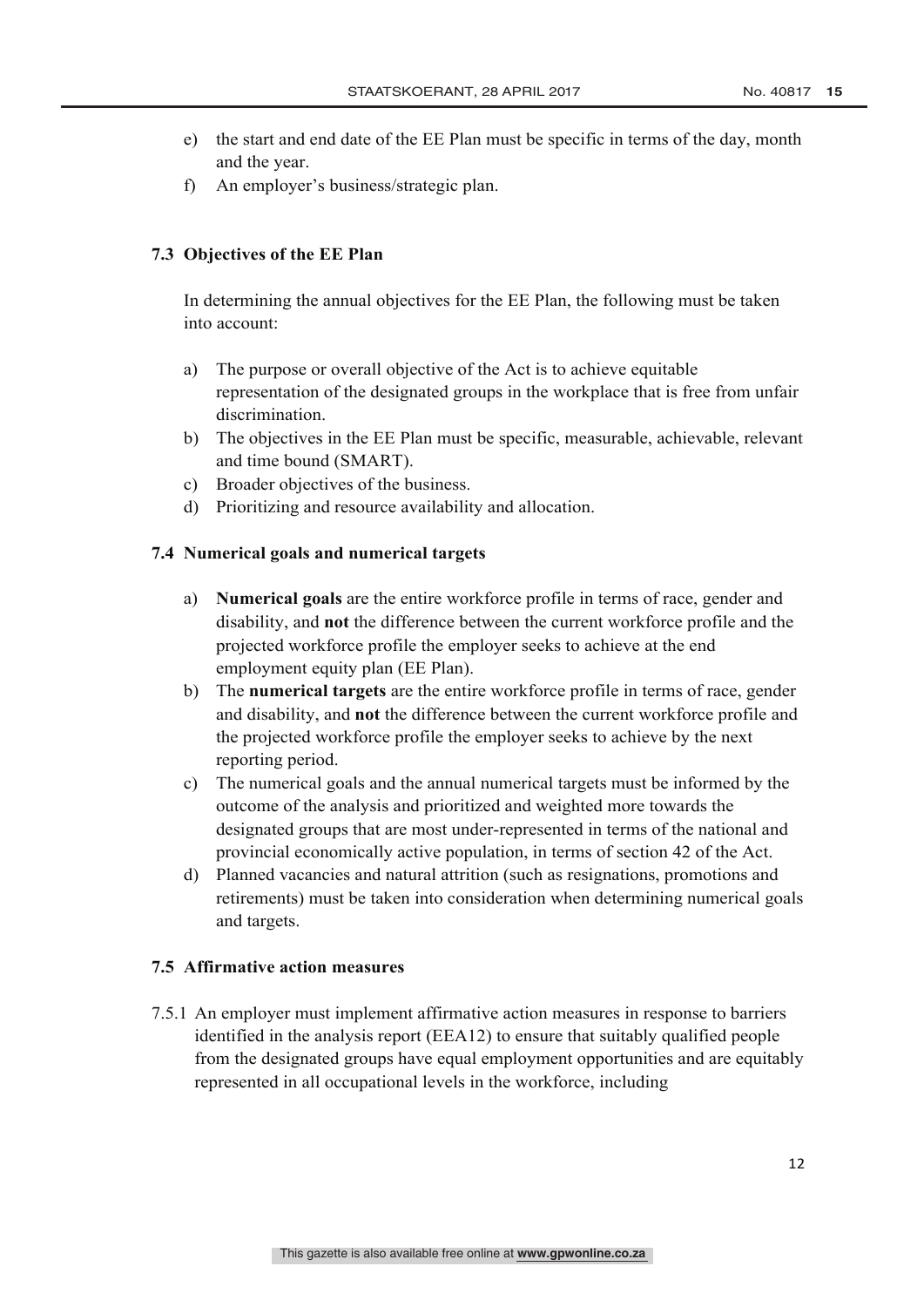- e) the start and end date of the EE Plan must be specific in terms of the day, month and the year.
- f) An employer's business/strategic plan.

## **7.3 Objectives of the EE Plan**

In determining the annual objectives for the EE Plan, the following must be taken into account:

- a) The purpose or overall objective of the Act is to achieve equitable representation of the designated groups in the workplace that is free from unfair discrimination.
- b) The objectives in the EE Plan must be specific, measurable, achievable, relevant and time bound (SMART).
- c) Broader objectives of the business.
- d) Prioritizing and resource availability and allocation.

### **7.4 Numerical goals and numerical targets**

- a) **Numerical goals** are the entire workforce profile in terms of race, gender and disability, and **not** the difference between the current workforce profile and the projected workforce profile the employer seeks to achieve at the end employment equity plan (EE Plan).
- b) The **numerical targets** are the entire workforce profile in terms of race, gender and disability, and **not** the difference between the current workforce profile and the projected workforce profile the employer seeks to achieve by the next reporting period.
- c) The numerical goals and the annual numerical targets must be informed by the outcome of the analysis and prioritized and weighted more towards the designated groups that are most under-represented in terms of the national and provincial economically active population, in terms of section 42 of the Act.
- d) Planned vacancies and natural attrition (such as resignations, promotions and retirements) must be taken into consideration when determining numerical goals and targets.

### **7.5 Affirmative action measures**

7.5.1 An employer must implement affirmative action measures in response to barriers identified in the analysis report (EEA12) to ensure that suitably qualified people from the designated groups have equal employment opportunities and are equitably represented in all occupational levels in the workforce, including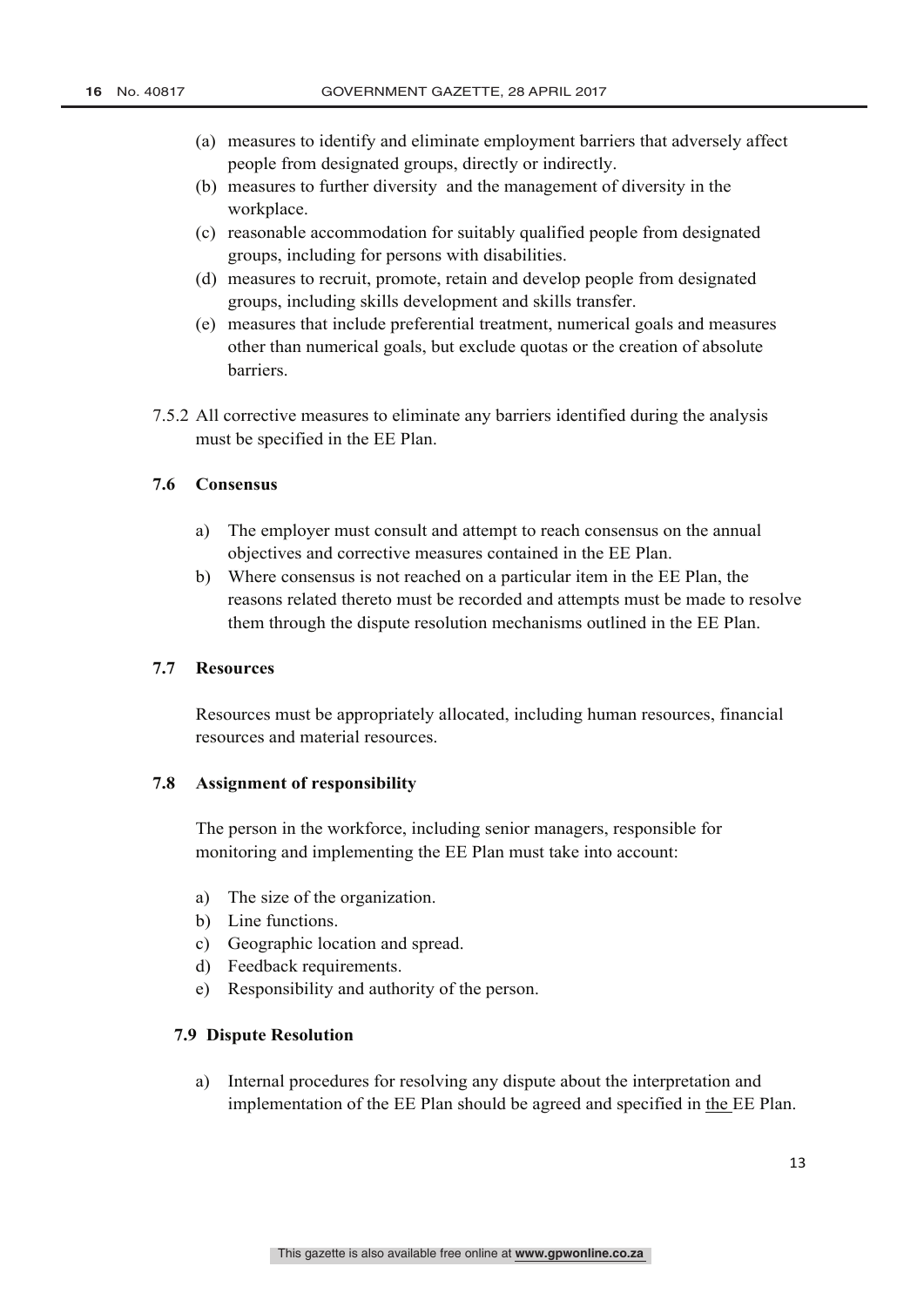- (a) measures to identify and eliminate employment barriers that adversely affect people from designated groups, directly or indirectly.
- (b) measures to further diversity and the management of diversity in the workplace.
- (c) reasonable accommodation for suitably qualified people from designated groups, including for persons with disabilities.
- (d) measures to recruit, promote, retain and develop people from designated groups, including skills development and skills transfer.
- (e) measures that include preferential treatment, numerical goals and measures other than numerical goals, but exclude quotas or the creation of absolute barriers.
- 7.5.2 All corrective measures to eliminate any barriers identified during the analysis must be specified in the EE Plan.

## **7.6 Consensus**

- a) The employer must consult and attempt to reach consensus on the annual objectives and corrective measures contained in the EE Plan.
- b) Where consensus is not reached on a particular item in the EE Plan, the reasons related thereto must be recorded and attempts must be made to resolve them through the dispute resolution mechanisms outlined in the EE Plan.

### **7.7 Resources**

Resources must be appropriately allocated, including human resources, financial resources and material resources.

### **7.8 Assignment of responsibility**

The person in the workforce, including senior managers, responsible for monitoring and implementing the EE Plan must take into account:

- a) The size of the organization.
- b) Line functions.
- c) Geographic location and spread.
- d) Feedback requirements.
- e) Responsibility and authority of the person.

### **7.9 Dispute Resolution**

a) Internal procedures for resolving any dispute about the interpretation and implementation of the EE Plan should be agreed and specified in the EE Plan.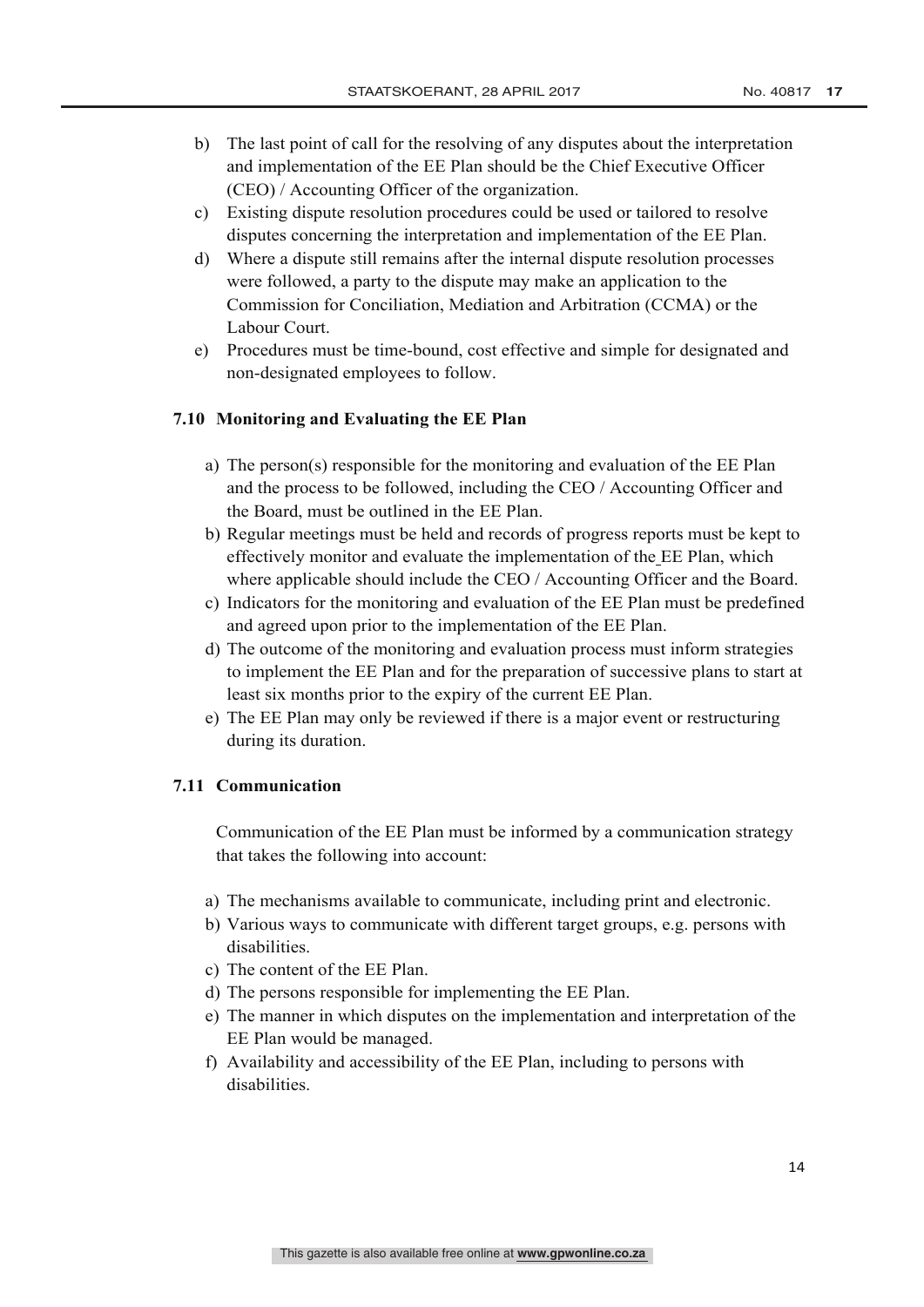- b) The last point of call for the resolving of any disputes about the interpretation and implementation of the EE Plan should be the Chief Executive Officer (CEO) / Accounting Officer of the organization.
- c) Existing dispute resolution procedures could be used or tailored to resolve disputes concerning the interpretation and implementation of the EE Plan.
- d) Where a dispute still remains after the internal dispute resolution processes were followed, a party to the dispute may make an application to the Commission for Conciliation, Mediation and Arbitration (CCMA) or the Labour Court.
- e) Procedures must be time-bound, cost effective and simple for designated and non-designated employees to follow.

### **7.10 Monitoring and Evaluating the EE Plan**

- a) The person(s) responsible for the monitoring and evaluation of the EE Plan and the process to be followed, including the CEO / Accounting Officer and the Board, must be outlined in the EE Plan.
- b) Regular meetings must be held and records of progress reports must be kept to effectively monitor and evaluate the implementation of the EE Plan, which where applicable should include the CEO / Accounting Officer and the Board.
- c) Indicators for the monitoring and evaluation of the EE Plan must be predefined and agreed upon prior to the implementation of the EE Plan.
- d) The outcome of the monitoring and evaluation process must inform strategies to implement the EE Plan and for the preparation of successive plans to start at least six months prior to the expiry of the current EE Plan.
- e) The EE Plan may only be reviewed if there is a major event or restructuring during its duration.

#### **7.11 Communication**

Communication of the EE Plan must be informed by a communication strategy that takes the following into account:

- a) The mechanisms available to communicate, including print and electronic.
- b) Various ways to communicate with different target groups, e.g. persons with disabilities.
- c) The content of the EE Plan.
- d) The persons responsible for implementing the EE Plan.
- e) The manner in which disputes on the implementation and interpretation of the EE Plan would be managed.
- f) Availability and accessibility of the EE Plan, including to persons with disabilities.